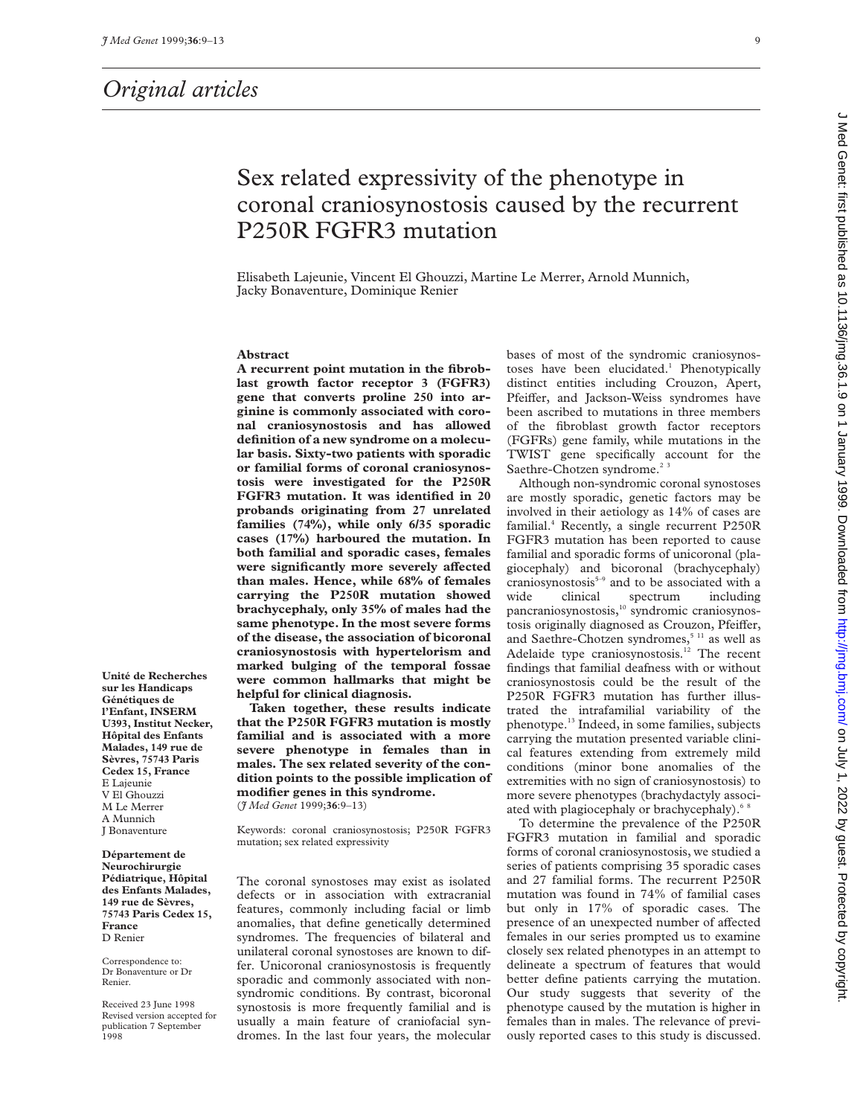# *Original articles*

# Sex related expressivity of the phenotype in coronal craniosynostosis caused by the recurrent P250R FGFR3 mutation

Elisabeth Lajeunie, Vincent El Ghouzzi, Martine Le Merrer, Arnold Munnich, Jacky Bonaventure, Dominique Renier

#### **Abstract**

**A recurrent point mutation in the fibroblast growth factor receptor 3 (FGFR3) gene that converts proline 250 into arginine is commonly associated with coronal craniosynostosis and has allowed definition of a new syndrome on a molecular basis. Sixty-two patients with sporadic or familial forms of coronal craniosynostosis were investigated for the P250R FGFR3 mutation. It was identified in 20 probands originating from 27 unrelated families (74%), while only 6/35 sporadic cases (17%) harboured the mutation. In both familial and sporadic cases, females** were significantly more severely affected **than males. Hence, while 68% of females carrying the P250R mutation showed brachycephaly, only 35% of males had the same phenotype. In the most severe forms of the disease, the association of bicoronal craniosynostosis with hypertelorism and marked bulging of the temporal fossae were common hallmarks that might be helpful for clinical diagnosis.**

**Taken together, these results indicate that the P250R FGFR3 mutation is mostly familial and is associated with a more severe phenotype in females than in males. The sex related severity of the condition points to the possible implication of modifier genes in this syndrome.** (*J Med Genet* 1999;**36**:9–13)

Keywords: coronal craniosynostosis; P250R FGFR3 mutation; sex related expressivity

The coronal synostoses may exist as isolated defects or in association with extracranial features, commonly including facial or limb anomalies, that define genetically determined syndromes. The frequencies of bilateral and unilateral coronal synostoses are known to differ. Unicoronal craniosynostosis is frequently sporadic and commonly associated with nonsyndromic conditions. By contrast, bicoronal synostosis is more frequently familial and is usually a main feature of craniofacial syndromes. In the last four years, the molecular bases of most of the syndromic craniosynostoses have been elucidated.<sup>1</sup> Phenotypically distinct entities including Crouzon, Apert, Pfeiffer, and Jackson-Weiss syndromes have been ascribed to mutations in three members of the fibroblast growth factor receptors (FGFRs) gene family, while mutations in the TWIST gene specifically account for the Saethre-Chotzen syndrome.<sup>23</sup>

Although non-syndromic coronal synostoses are mostly sporadic, genetic factors may be involved in their aetiology as 14% of cases are familial.4 Recently, a single recurrent P250R FGFR3 mutation has been reported to cause familial and sporadic forms of unicoronal (plagiocephaly) and bicoronal (brachycephaly)  $c$ raniosynostosis $5-9$  and to be associated with a wide clinical spectrum including pancraniosynostosis,<sup>10</sup> syndromic craniosynostosis originally diagnosed as Crouzon, Pfeiffer, and Saethre-Chotzen syndromes,<sup>5 11</sup> as well as Adelaide type craniosynostosis.<sup>12</sup> The recent findings that familial deafness with or without craniosynostosis could be the result of the P250R FGFR3 mutation has further illustrated the intrafamilial variability of the phenotype.13 Indeed, in some families, subjects carrying the mutation presented variable clinical features extending from extremely mild conditions (minor bone anomalies of the extremities with no sign of craniosynostosis) to more severe phenotypes (brachydactyly associated with plagiocephaly or brachycephaly).<sup>68</sup>

To determine the prevalence of the P250R FGFR3 mutation in familial and sporadic forms of coronal craniosynostosis, we studied a series of patients comprising 35 sporadic cases and 27 familial forms. The recurrent P250R mutation was found in 74% of familial cases but only in 17% of sporadic cases. The presence of an unexpected number of affected females in our series prompted us to examine closely sex related phenotypes in an attempt to delineate a spectrum of features that would better define patients carrying the mutation. Our study suggests that severity of the phenotype caused by the mutation is higher in females than in males. The relevance of previously reported cases to this study is discussed.

**Unité de Recherches sur les Handicaps Génétiques de l'Enfant, INSERM U393, Institut Necker, Hôpital des Enfants Malades, 149 rue de Sèvres, 75743 Paris Cedex 15, France** E Lajeunie V El Ghouzzi M Le Merrer A Munnich J Bonaventure

**Département de Neurochirurgie Pédiatrique, Hôpital des Enfants Malades, 149 rue de Sèvres, 75743 Paris Cedex 15, France** D Renier

Correspondence to: Dr Bonaventure or Dr Renier.

Received 23 June 1998 Revised version accepted for publication 7 September 1998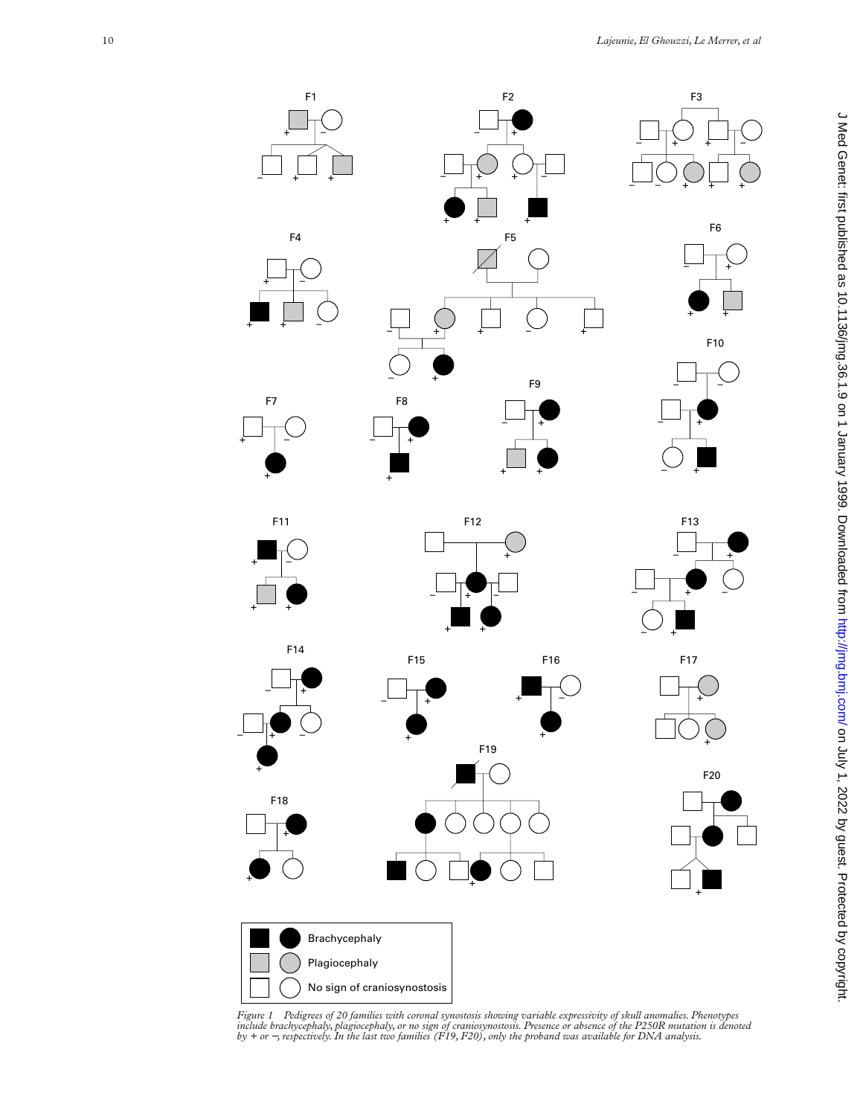

Figure 1 Pedigrees of 20 families with coronal synostosis showing variable expressivity of skull anomalies. Phenotypes<br>include brachycephaly, plagiocephaly, or no sign of craniosynostosis. Presence or absence of the P250R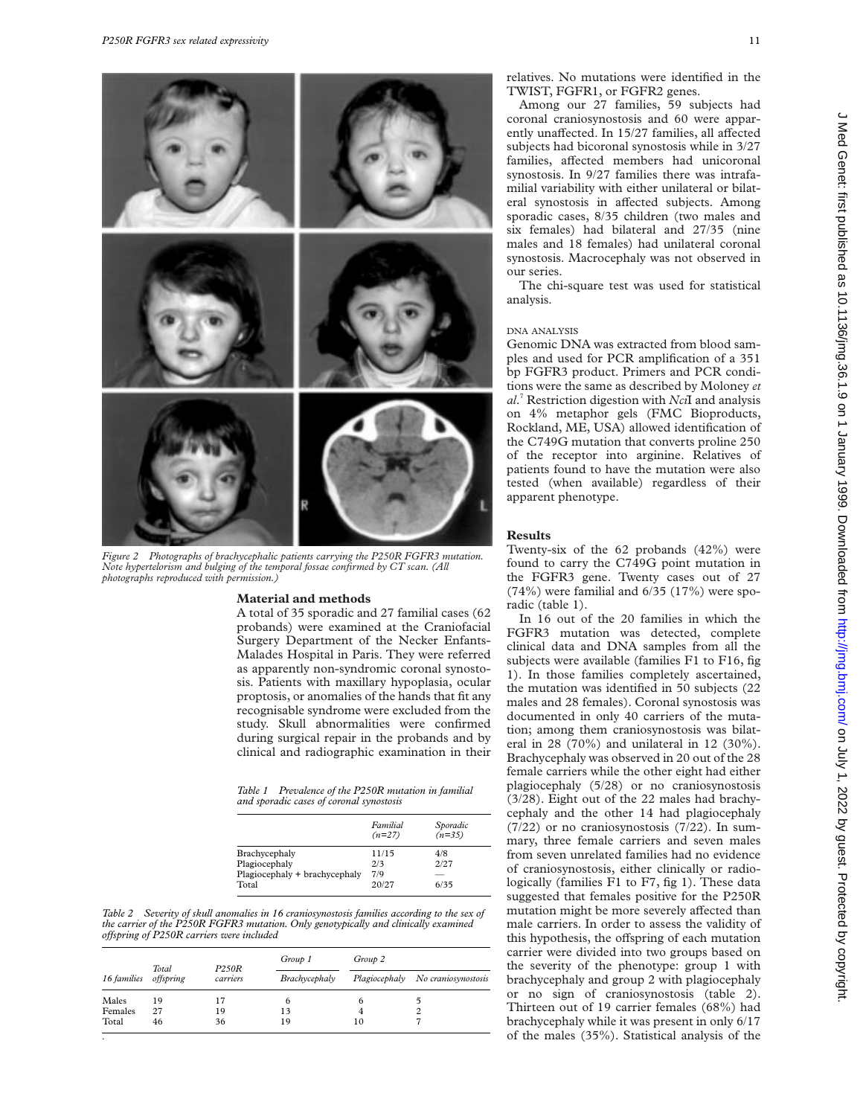

*Figure 2 Photographs of brachycephalic patients carrying the P250R FGFR3 mutation. Note hypertelorism and bulging of the temporal fossae confirmed by CT scan. (All photographs reproduced with permission.)*

# **Material and methods**

A total of 35 sporadic and 27 familial cases (62 probands) were examined at the Craniofacial Surgery Department of the Necker Enfants-Malades Hospital in Paris. They were referred as apparently non-syndromic coronal synostosis. Patients with maxillary hypoplasia, ocular proptosis, or anomalies of the hands that fit any recognisable syndrome were excluded from the study. Skull abnormalities were confirmed during surgical repair in the probands and by clinical and radiographic examination in their

*Table 1 Prevalence of the P250R mutation in familial and sporadic cases of coronal synostosis*

|                               | Familial<br>$(n=27)$ | Sporadic<br>$(n=35)$ |
|-------------------------------|----------------------|----------------------|
| Brachycephaly                 | 11/15                | 4/8                  |
| Plagiocephaly                 | 2/3                  | 2/27                 |
| Plagiocephaly + brachycephaly | 7/9                  |                      |
| Total                         | 20/27                | 6/35                 |

*Table 2 Severity of skull anomalies in 16 craniosynostosis families according to the sex of the carrier of the P250R FGFR3 mutation. Only genotypically and clinically examined oVspring of P250R carriers were included*

| 16 families |                    | <b>P250R</b><br>carriers | Group 1       | Group 2 |                                   |  |  |
|-------------|--------------------|--------------------------|---------------|---------|-----------------------------------|--|--|
|             | Total<br>offspring |                          | Brachycephaly |         | Plagiocephaly No craniosynostosis |  |  |
| Males       | 19                 | 17                       | 6             | 6       |                                   |  |  |
| Females     | 27                 | 19                       | 13            |         | 2                                 |  |  |
| Total       | 46                 | 36                       | 19            | 10      |                                   |  |  |

relatives. No mutations were identified in the TWIST, FGFR1, or FGFR2 genes.

Among our 27 families, 59 subjects had coronal craniosynostosis and 60 were apparently unaffected. In 15/27 families, all affected subjects had bicoronal synostosis while in 3/27 families, affected members had unicoronal synostosis. In 9/27 families there was intrafamilial variability with either unilateral or bilateral synostosis in affected subjects. Among sporadic cases, 8/35 children (two males and six females) had bilateral and 27/35 (nine males and 18 females) had unilateral coronal synostosis. Macrocephaly was not observed in our series.

The chi-square test was used for statistical analysis.

## DNA ANALYSIS

Genomic DNA was extracted from blood samples and used for PCR amplification of a 351 bp FGFR3 product. Primers and PCR conditions were the same as described by Moloney *et al*. <sup>7</sup> Restriction digestion with *Nci*I and analysis on 4% metaphor gels (FMC Bioproducts, Rockland, ME, USA) allowed identification of the C749G mutation that converts proline 250 of the receptor into arginine. Relatives of patients found to have the mutation were also tested (when available) regardless of their apparent phenotype.

### **Results**

Twenty-six of the 62 probands (42%) were found to carry the C749G point mutation in the FGFR3 gene. Twenty cases out of 27 (74%) were familial and 6/35 (17%) were sporadic (table 1).

In 16 out of the 20 families in which the FGFR3 mutation was detected, complete clinical data and DNA samples from all the subjects were available (families F1 to F16, fig 1). In those families completely ascertained, the mutation was identified in 50 subjects (22 males and 28 females). Coronal synostosis was documented in only 40 carriers of the mutation; among them craniosynostosis was bilateral in 28 (70%) and unilateral in 12 (30%). Brachycephaly was observed in 20 out of the 28 female carriers while the other eight had either plagiocephaly (5/28) or no craniosynostosis (3/28). Eight out of the 22 males had brachycephaly and the other 14 had plagiocephaly (7/22) or no craniosynostosis (7/22). In summary, three female carriers and seven males from seven unrelated families had no evidence of craniosynostosis, either clinically or radiologically (families F1 to F7, fig 1). These data suggested that females positive for the P250R mutation might be more severely affected than male carriers. In order to assess the validity of this hypothesis, the offspring of each mutation carrier were divided into two groups based on the severity of the phenotype: group 1 with brachycephaly and group 2 with plagiocephaly or no sign of craniosynostosis (table 2). Thirteen out of 19 carrier females (68%) had brachycephaly while it was present in only 6/17 of the males (35%). Statistical analysis of the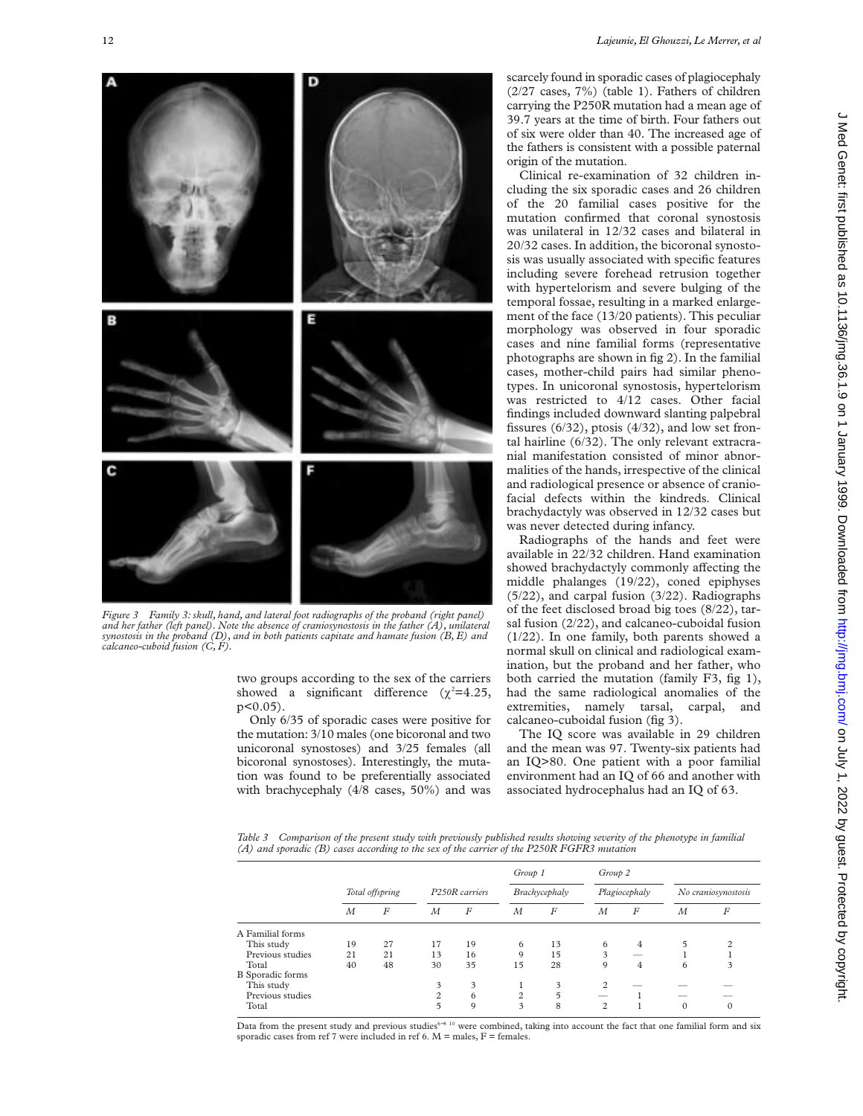

*Figure 3 Family 3: skull, hand, and lateral foot radiographs of the proband (right panel) and her father (left panel). Note the absence of craniosynostosis in the father (A), unilateral synostosis in the proband (D), and in both patients capitate and hamate fusion (B, E) and calcaneo-cuboid fusion (C, F).*

two groups according to the sex of the carriers showed a significant difference  $(\chi^2=4.25,$  $p<0.05$ )

Only 6/35 of sporadic cases were positive for the mutation: 3/10 males (one bicoronal and two unicoronal synostoses) and 3/25 females (all bicoronal synostoses). Interestingly, the mutation was found to be preferentially associated with brachycephaly (4/8 cases, 50%) and was scarcely found in sporadic cases of plagiocephaly (2/27 cases, 7%) (table 1). Fathers of children carrying the P250R mutation had a mean age of 39.7 years at the time of birth. Four fathers out of six were older than 40. The increased age of the fathers is consistent with a possible paternal origin of the mutation.

Clinical re-examination of 32 children including the six sporadic cases and 26 children of the 20 familial cases positive for the mutation confirmed that coronal synostosis was unilateral in 12/32 cases and bilateral in 20/32 cases. In addition, the bicoronal synostosis was usually associated with specific features including severe forehead retrusion together with hypertelorism and severe bulging of the temporal fossae, resulting in a marked enlargement of the face (13/20 patients). This peculiar morphology was observed in four sporadic cases and nine familial forms (representative photographs are shown in fig 2). In the familial cases, mother-child pairs had similar phenotypes. In unicoronal synostosis, hypertelorism was restricted to 4/12 cases. Other facial findings included downward slanting palpebral fissures (6/32), ptosis (4/32), and low set frontal hairline (6/32). The only relevant extracranial manifestation consisted of minor abnormalities of the hands, irrespective of the clinical and radiological presence or absence of craniofacial defects within the kindreds. Clinical brachydactyly was observed in 12/32 cases but was never detected during infancy.

Radiographs of the hands and feet were available in 22/32 children. Hand examination showed brachydactyly commonly affecting the middle phalanges (19/22), coned epiphyses (5/22), and carpal fusion (3/22). Radiographs of the feet disclosed broad big toes (8/22), tarsal fusion (2/22), and calcaneo-cuboidal fusion (1/22). In one family, both parents showed a normal skull on clinical and radiological examination, but the proband and her father, who both carried the mutation (family F3, fig 1), had the same radiological anomalies of the extremities, namely tarsal, carpal, and calcaneo-cuboidal fusion (fig 3).

The IQ score was available in 29 children and the mean was 97. Twenty-six patients had an IQ>80. One patient with a poor familial environment had an IQ of 66 and another with associated hydrocephalus had an IQ of 63.

*Table 3 Comparison of the present study with previously published results showing severity of the phenotype in familial (A) and sporadic (B) cases according to the sex of the carrier of the P250R FGFR3 mutation*

|                  |                 |    |                |                  | Group 1        |    | Group 2        |   |                     |                |
|------------------|-----------------|----|----------------|------------------|----------------|----|----------------|---|---------------------|----------------|
|                  | Total offspring |    | P250R carriers |                  | Brachycephaly  |    | Plagiocephaly  |   | No craniosynostosis |                |
|                  | М               | F  | M              | $\boldsymbol{F}$ | М              | F  | M              | F | М                   | F              |
| A Familial forms |                 |    |                |                  |                |    |                |   |                     |                |
| This study       | 19              | 27 | 17             | 19               | 6              | 13 | 6              | 4 | 5                   | $\mathfrak{D}$ |
| Previous studies | 21              | 21 | 13             | 16               | 9              | 15 | 3              |   |                     |                |
| Total            | 40              | 48 | 30             | 35               | 15             | 28 | 9              | 4 | 6                   | 3              |
| B Sporadic forms |                 |    |                |                  |                |    |                |   |                     |                |
| This study       |                 |    | 3              | 3                |                | 3  | 2              |   |                     |                |
| Previous studies |                 |    | $\mathfrak{D}$ | 6                | $\overline{c}$ | 5  |                |   |                     |                |
| Total            |                 |    |                | 9                | 3              | 8  | $\overline{c}$ |   | $\mathbf{0}$        |                |

Data from the present study and previous studies<sup>6-8 10</sup> were combined, taking into account the fact that one familial form and six sporadic cases from ref 7 were included in ref 6.  $M =$  males,  $F =$  females.